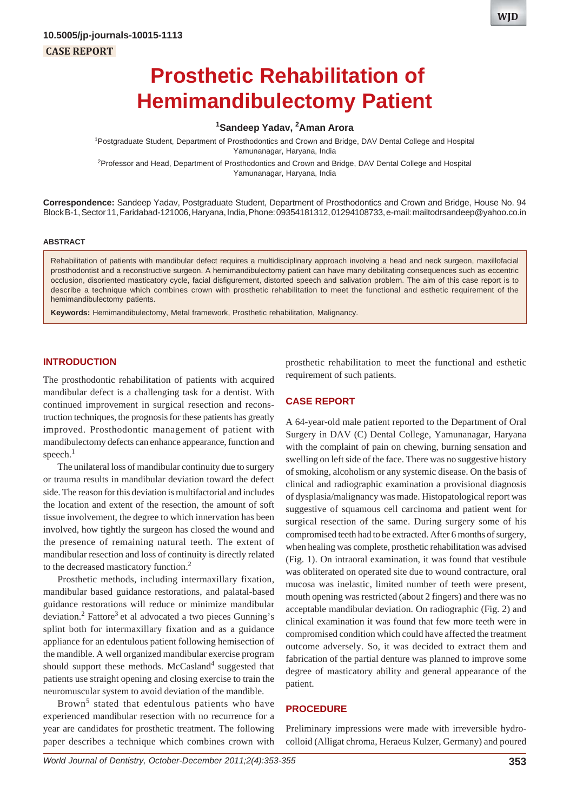# **Prosthetic Rehabilitation of Hemimandibulectomy Patient**

## **1 Sandeep Yadav, 2 Aman Arora**

<sup>1</sup>Postgraduate Student, Department of Prosthodontics and Crown and Bridge, DAV Dental College and Hospital Yamunanagar, Haryana, India

<sup>2</sup>Professor and Head, Department of Prosthodontics and Crown and Bridge, DAV Dental College and Hospital Yamunanagar, Haryana, India

**Correspondence:** Sandeep Yadav, Postgraduate Student, Department of Prosthodontics and Crown and Bridge, House No. 94 Block B-1, Sector 11, Faridabad-121006, Haryana, India, Phone: 09354181312, 01294108733, e-mail: mailtodrsandeep@yahoo.co.in

#### **ABSTRACT**

Rehabilitation of patients with mandibular defect requires a multidisciplinary approach involving a head and neck surgeon, maxillofacial prosthodontist and a reconstructive surgeon. A hemimandibulectomy patient can have many debilitating consequences such as eccentric occlusion, disoriented masticatory cycle, facial disfigurement, distorted speech and salivation problem. The aim of this case report is to describe a technique which combines crown with prosthetic rehabilitation to meet the functional and esthetic requirement of the hemimandibulectomy patients.

**Keywords:** Hemimandibulectomy, Metal framework, Prosthetic rehabilitation, Malignancy.

## **INTRODUCTION**

The prosthodontic rehabilitation of patients with acquired mandibular defect is a challenging task for a dentist. With continued improvement in surgical resection and reconstruction techniques, the prognosis for these patients has greatly improved. Prosthodontic management of patient with mandibulectomy defects can enhance appearance, function and speech. $<sup>1</sup>$ </sup>

The unilateral loss of mandibular continuity due to surgery or trauma results in mandibular deviation toward the defect side. The reason for this deviation is multifactorial and includes the location and extent of the resection, the amount of soft tissue involvement, the degree to which innervation has been involved, how tightly the surgeon has closed the wound and the presence of remaining natural teeth. The extent of mandibular resection and loss of continuity is directly related to the decreased masticatory function.<sup>2</sup>

Prosthetic methods, including intermaxillary fixation, mandibular based guidance restorations, and palatal-based guidance restorations will reduce or minimize mandibular deviation.<sup>2</sup> Fattore<sup>3</sup> et al advocated a two pieces Gunning's splint both for intermaxillary fixation and as a guidance appliance for an edentulous patient following hemisection of the mandible. A well organized mandibular exercise program should support these methods. McCasland<sup>4</sup> suggested that patients use straight opening and closing exercise to train the neuromuscular system to avoid deviation of the mandible.

Brown<sup>5</sup> stated that edentulous patients who have experienced mandibular resection with no recurrence for a year are candidates for prosthetic treatment. The following paper describes a technique which combines crown with prosthetic rehabilitation to meet the functional and esthetic requirement of such patients.

# **CASE REPORT**

A 64-year-old male patient reported to the Department of Oral Surgery in DAV (C) Dental College, Yamunanagar, Haryana with the complaint of pain on chewing, burning sensation and swelling on left side of the face. There was no suggestive history of smoking, alcoholism or any systemic disease. On the basis of clinical and radiographic examination a provisional diagnosis of dysplasia/malignancy was made. Histopatological report was suggestive of squamous cell carcinoma and patient went for surgical resection of the same. During surgery some of his compromised teeth had to be extracted. After 6 months of surgery, when healing was complete, prosthetic rehabilitation was advised (Fig. 1). On intraoral examination, it was found that vestibule was obliterated on operated site due to wound contracture, oral mucosa was inelastic, limited number of teeth were present, mouth opening was restricted (about 2 fingers) and there was no acceptable mandibular deviation. On radiographic (Fig. 2) and clinical examination it was found that few more teeth were in compromised condition which could have affected the treatment outcome adversely. So, it was decided to extract them and fabrication of the partial denture was planned to improve some degree of masticatory ability and general appearance of the patient.

## **PROCEDURE**

Preliminary impressions were made with irreversible hydrocolloid (Alligat chroma, Heraeus Kulzer, Germany) and poured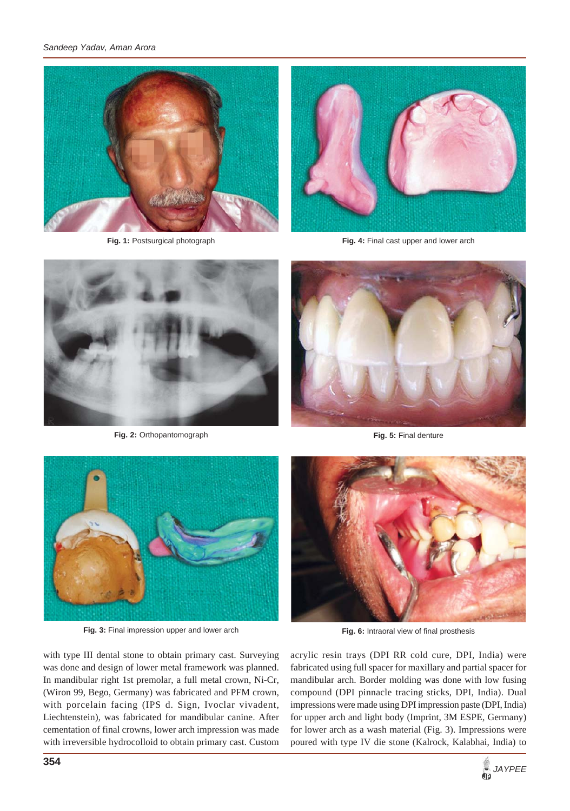

**Fig. 1:** Postsurgical photograph



**Fig. 4:** Final cast upper and lower arch



**Fig. 2:** Orthopantomograph



**Fig. 5:** Final denture



**Fig. 3:** Final impression upper and lower arch

with type III dental stone to obtain primary cast. Surveying was done and design of lower metal framework was planned. In mandibular right 1st premolar, a full metal crown, Ni-Cr, (Wiron 99, Bego, Germany) was fabricated and PFM crown, with porcelain facing (IPS d. Sign, Ivoclar vivadent, Liechtenstein), was fabricated for mandibular canine. After cementation of final crowns, lower arch impression was made with irreversible hydrocolloid to obtain primary cast. Custom



**Fig. 6:** Intraoral view of final prosthesis

acrylic resin trays (DPI RR cold cure, DPI, India) were fabricated using full spacer for maxillary and partial spacer for mandibular arch. Border molding was done with low fusing compound (DPI pinnacle tracing sticks, DPI, India). Dual impressions were made using DPI impression paste (DPI, India) for upper arch and light body (Imprint, 3M ESPE, Germany) for lower arch as a wash material (Fig. 3). Impressions were poured with type IV die stone (Kalrock, Kalabhai, India) to